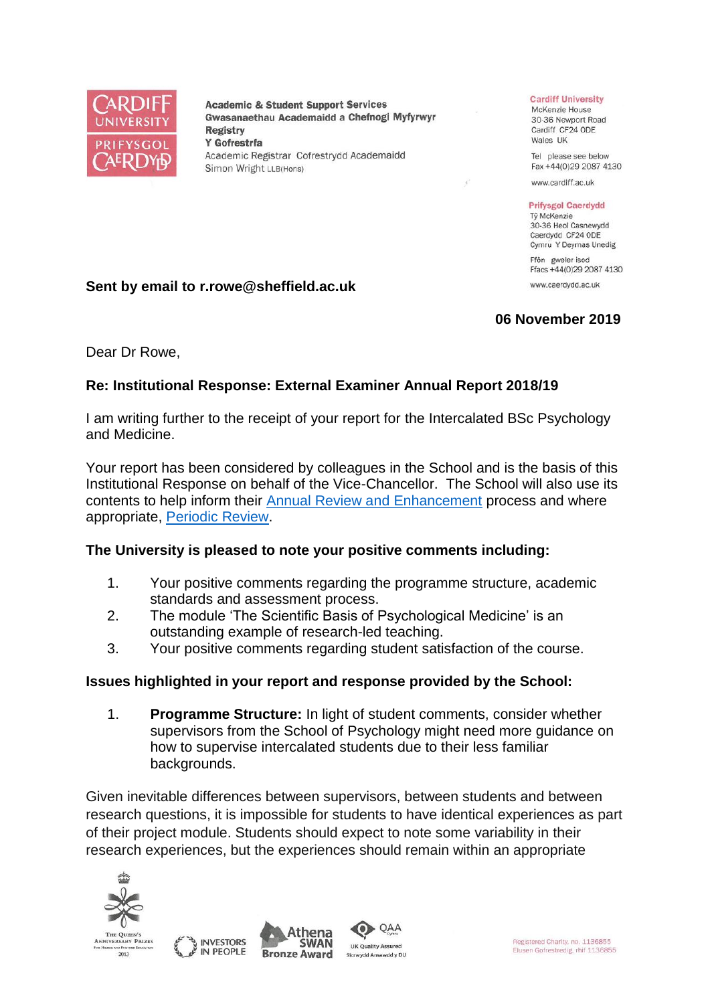

**Academic & Student Support Services** Gwasanaethau Academaidd a Chefnogi Myfyrwyr **Registry** Y Gofrestrfa Academic Registrar Cofrestrydd Academaidd Simon Wright LLB(Hons)

#### **Cardiff University**

McKenzie House 30-36 Newport Road Cardiff CF24 ODE Wales UK

Tel please see below Fax +44(0)29 2087 4130

www.cardiff.ac.uk

#### **Prifysgol Caerdydd**

Tỷ McKenzie 30-36 Heol Casnewydd Caerdydd CF24 ODE Cymru Y Deyrnas Unedig

Ffôn gweler isod Ffacs +44(0)29 2087 4130 www.caerdydd.ac.uk

# **06 November 2019**

Dear Dr Rowe,

**Sent by email to r.rowe@sheffield.ac.uk**

## **Re: Institutional Response: External Examiner Annual Report 2018/19**

I am writing further to the receipt of your report for the Intercalated BSc Psychology and Medicine.

Your report has been considered by colleagues in the School and is the basis of this Institutional Response on behalf of the Vice-Chancellor. The School will also use its contents to help inform their [Annual Review and Enhancement](https://www.cardiff.ac.uk/public-information/quality-and-standards/monitoring-and-review/annual-review-and-enhancement) process and where appropriate, [Periodic Review.](http://www.cardiff.ac.uk/public-information/quality-and-standards/monitoring-and-review/periodic-review)

#### **The University is pleased to note your positive comments including:**

- 1. Your positive comments regarding the programme structure, academic standards and assessment process.
- 2. The module 'The Scientific Basis of Psychological Medicine' is an outstanding example of research-led teaching.
- 3. Your positive comments regarding student satisfaction of the course.

#### **Issues highlighted in your report and response provided by the School:**

1. **Programme Structure:** In light of student comments, consider whether supervisors from the School of Psychology might need more guidance on how to supervise intercalated students due to their less familiar backgrounds.

Given inevitable differences between supervisors, between students and between research questions, it is impossible for students to have identical experiences as part of their project module. Students should expect to note some variability in their research experiences, but the experiences should remain within an appropriate